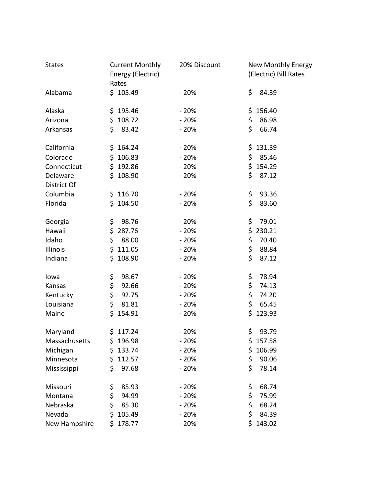| <b>States</b>           | <b>Current Monthly</b><br>Energy (Electric)<br>Rates | 20% Discount | New Monthly Energy<br>(Electric) Bill Rates |
|-------------------------|------------------------------------------------------|--------------|---------------------------------------------|
| Alabama                 | \$105.49                                             | $-20%$       | \$<br>84.39                                 |
| Alaska                  | \$195.46                                             | $-20%$       | \$156.40                                    |
| Arizona                 | \$108.72                                             | $-20%$       | \$<br>86.98                                 |
| Arkansas                | \$<br>83.42                                          | $-20%$       | \$<br>66.74                                 |
| California              | \$164.24                                             | $-20%$       | \$131.39                                    |
| Colorado                | \$106.83                                             | $-20%$       | \$<br>85.46                                 |
| Connecticut             | \$192.86                                             | $-20%$       | \$154.29                                    |
| Delaware<br>District Of | \$108.90                                             | $-20%$       | \$<br>87.12                                 |
| Columbia                | \$116.70                                             | $-20%$       | \$<br>93.36                                 |
| Florida                 | \$104.50                                             | $-20%$       | \$<br>83.60                                 |
| Georgia                 | \$.<br>98.76                                         | $-20%$       | \$<br>79.01                                 |
| Hawaii                  | 287.76<br>\$                                         | $-20%$       | \$<br>230.21                                |
| Idaho                   | \$<br>88.00                                          | $-20%$       | \$<br>70.40                                 |
| Illinois                | \$111.05                                             | $-20%$       | \$<br>88.84                                 |
| Indiana                 | \$108.90                                             | $-20%$       | \$<br>87.12                                 |
| lowa                    | \$<br>98.67                                          | $-20%$       | \$<br>78.94                                 |
| Kansas                  | \$<br>92.66                                          | $-20%$       | \$<br>74.13                                 |
| Kentucky                | \$<br>92.75                                          | $-20%$       | \$<br>74.20                                 |
| Louisiana               | \$<br>81.81                                          | $-20%$       | \$<br>65.45                                 |
| Maine                   | \$<br>154.91                                         | $-20%$       | \$<br>123.93                                |
| Maryland                | \$117.24                                             | $-20%$       | \$<br>93.79                                 |
| Massachusetts           | \$196.98                                             | $-20%$       | \$157.58                                    |
| Michigan                | \$<br>133.74                                         | $-20%$       | \$<br>106.99                                |
| Minnesota               | \$<br>112.57                                         | $-20%$       | \$<br>90.06                                 |
| Mississippi             | \$<br>97.68                                          | $-20%$       | \$<br>78.14                                 |
| Missouri                | \$<br>85.93                                          | $-20%$       | \$<br>68.74                                 |
| Montana                 | \$<br>94.99                                          | $-20%$       | \$<br>75.99                                 |
| Nebraska                | \$<br>85.30                                          | $-20%$       | \$<br>68.24                                 |
| Nevada                  | \$<br>105.49                                         | $-20%$       | \$<br>84.39                                 |
| New Hampshire           | \$<br>178.77                                         | $-20%$       | \$<br>143.02                                |